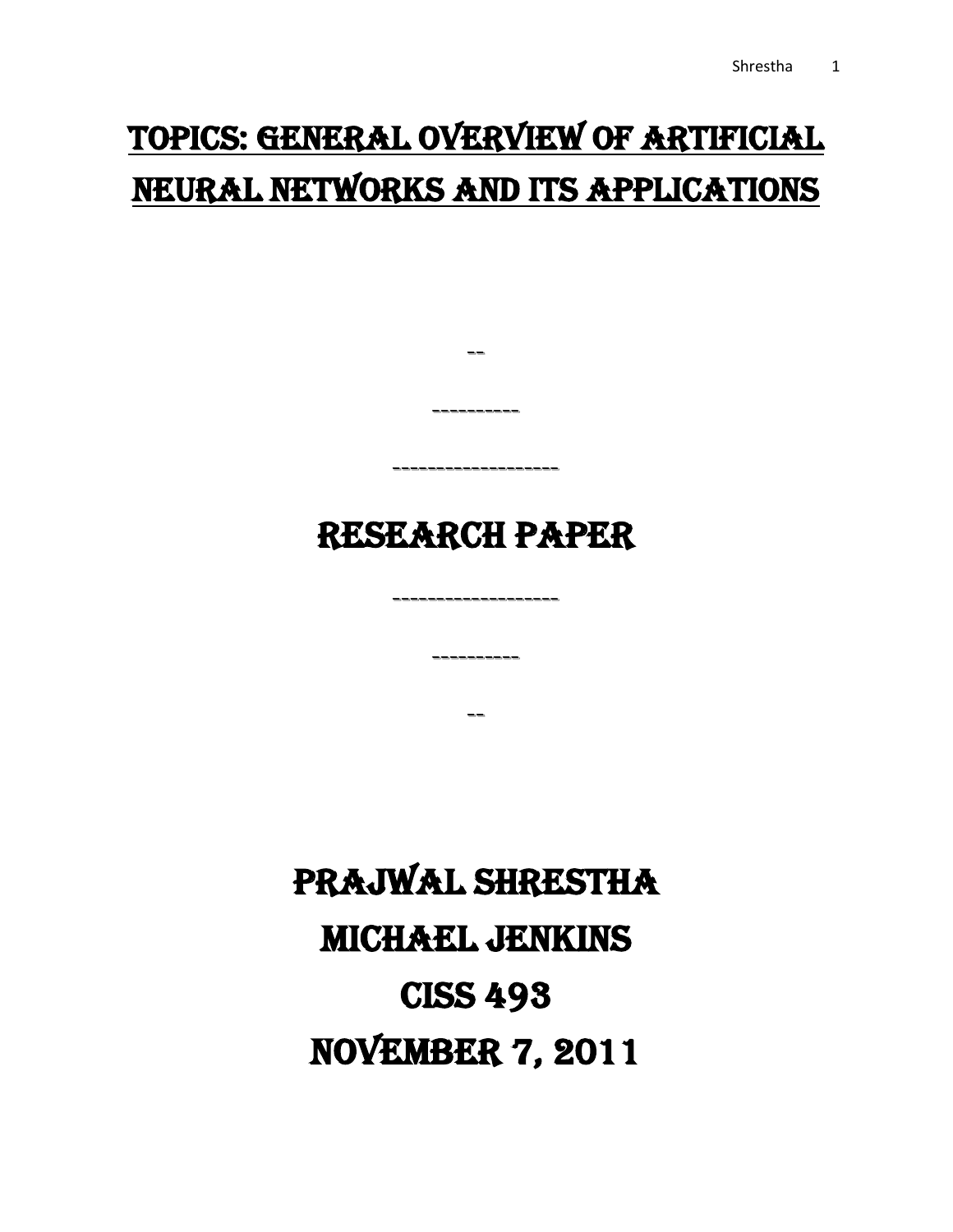## Topics: General overview of Artificial Neural Networks and its Applications

## RESEARCH PAPER

-------------------

----------

--

--

----------

-------------------

# Prajwal Shrestha Michael Jenkins CISS 493 **NOVEMBER 7, 2011**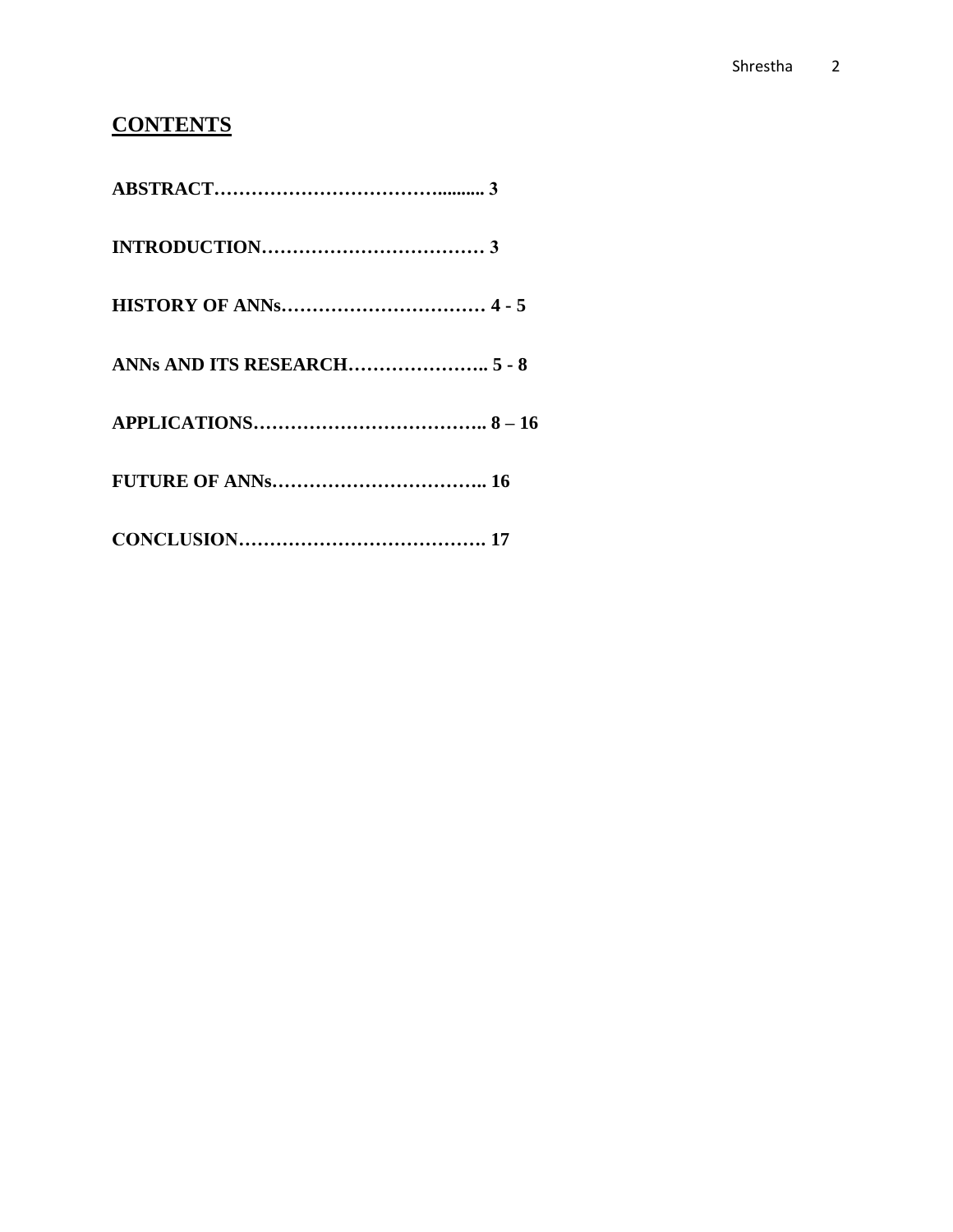### **CONTENTS**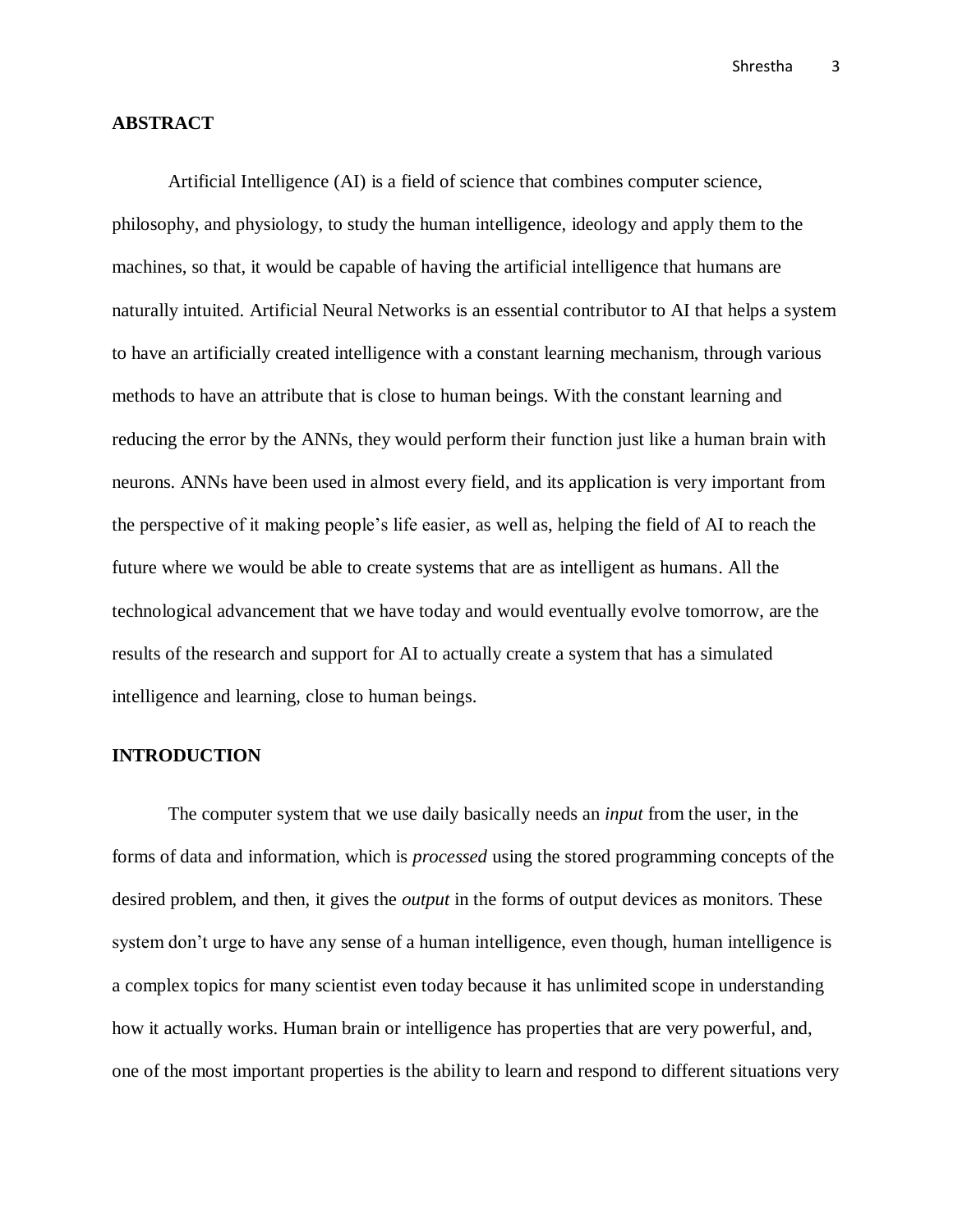#### **ABSTRACT**

Artificial Intelligence (AI) is a field of science that combines computer science, philosophy, and physiology, to study the human intelligence, ideology and apply them to the machines, so that, it would be capable of having the artificial intelligence that humans are naturally intuited. Artificial Neural Networks is an essential contributor to AI that helps a system to have an artificially created intelligence with a constant learning mechanism, through various methods to have an attribute that is close to human beings. With the constant learning and reducing the error by the ANNs, they would perform their function just like a human brain with neurons. ANNs have been used in almost every field, and its application is very important from the perspective of it making people's life easier, as well as, helping the field of AI to reach the future where we would be able to create systems that are as intelligent as humans. All the technological advancement that we have today and would eventually evolve tomorrow, are the results of the research and support for AI to actually create a system that has a simulated intelligence and learning, close to human beings.

#### **INTRODUCTION**

The computer system that we use daily basically needs an *input* from the user, in the forms of data and information, which is *processed* using the stored programming concepts of the desired problem, and then, it gives the *output* in the forms of output devices as monitors. These system don't urge to have any sense of a human intelligence, even though, human intelligence is a complex topics for many scientist even today because it has unlimited scope in understanding how it actually works. Human brain or intelligence has properties that are very powerful, and, one of the most important properties is the ability to learn and respond to different situations very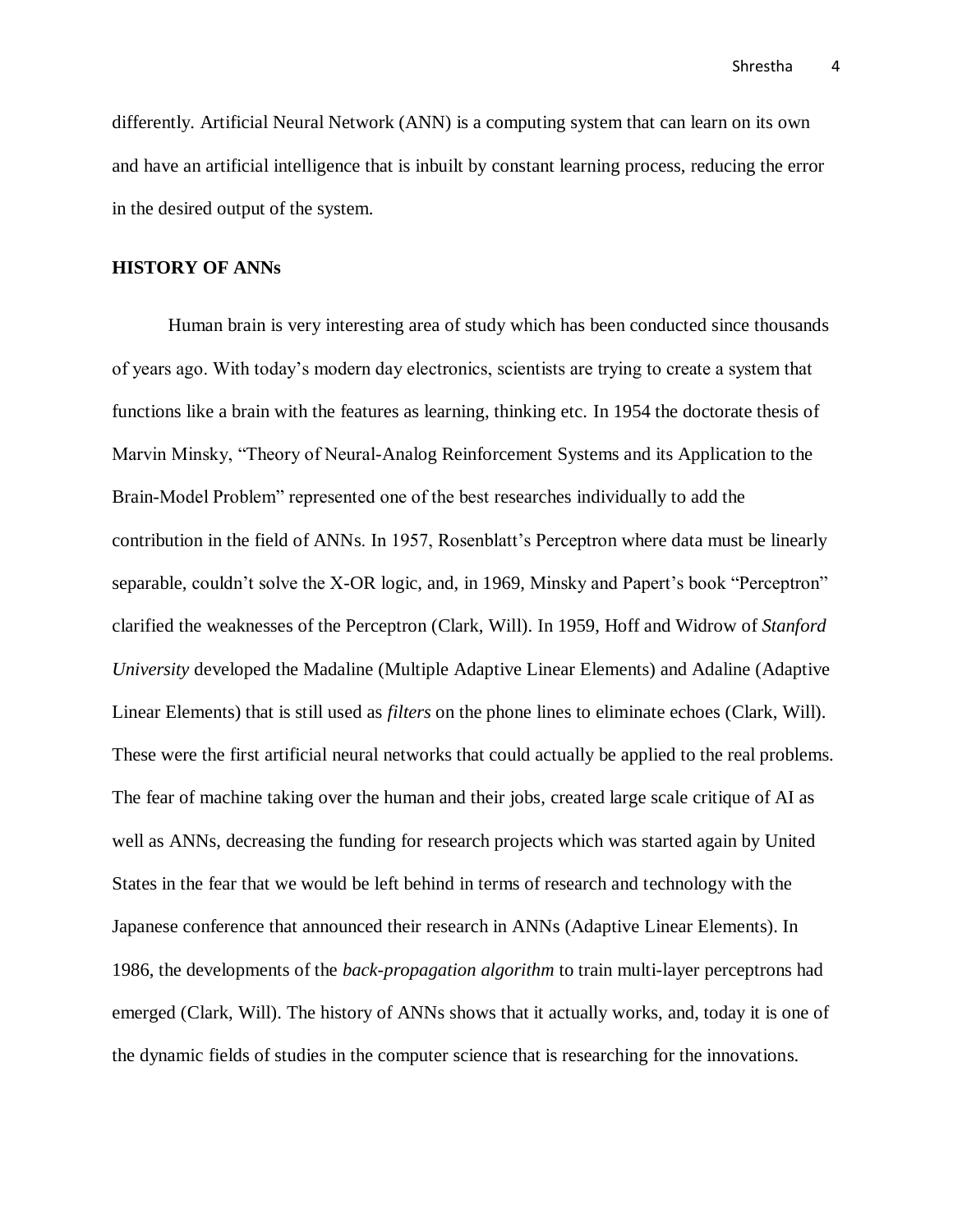differently. Artificial Neural Network (ANN) is a computing system that can learn on its own and have an artificial intelligence that is inbuilt by constant learning process, reducing the error in the desired output of the system.

#### **HISTORY OF ANNs**

Human brain is very interesting area of study which has been conducted since thousands of years ago. With today's modern day electronics, scientists are trying to create a system that functions like a brain with the features as learning, thinking etc. In 1954 the doctorate thesis of Marvin Minsky, "Theory of Neural-Analog Reinforcement Systems and its Application to the Brain-Model Problem" represented one of the best researches individually to add the contribution in the field of ANNs. In 1957, Rosenblatt's Perceptron where data must be linearly separable, couldn't solve the X-OR logic, and, in 1969, Minsky and Papert's book "Perceptron" clarified the weaknesses of the Perceptron (Clark, Will). In 1959, Hoff and Widrow of *Stanford University* developed the Madaline (Multiple Adaptive Linear Elements) and Adaline (Adaptive Linear Elements) that is still used as *filters* on the phone lines to eliminate echoes (Clark, Will). These were the first artificial neural networks that could actually be applied to the real problems. The fear of machine taking over the human and their jobs, created large scale critique of AI as well as ANNs, decreasing the funding for research projects which was started again by United States in the fear that we would be left behind in terms of research and technology with the Japanese conference that announced their research in ANNs (Adaptive Linear Elements). In 1986, the developments of the *back-propagation algorithm* to train multi-layer perceptrons had emerged (Clark, Will). The history of ANNs shows that it actually works, and, today it is one of the dynamic fields of studies in the computer science that is researching for the innovations.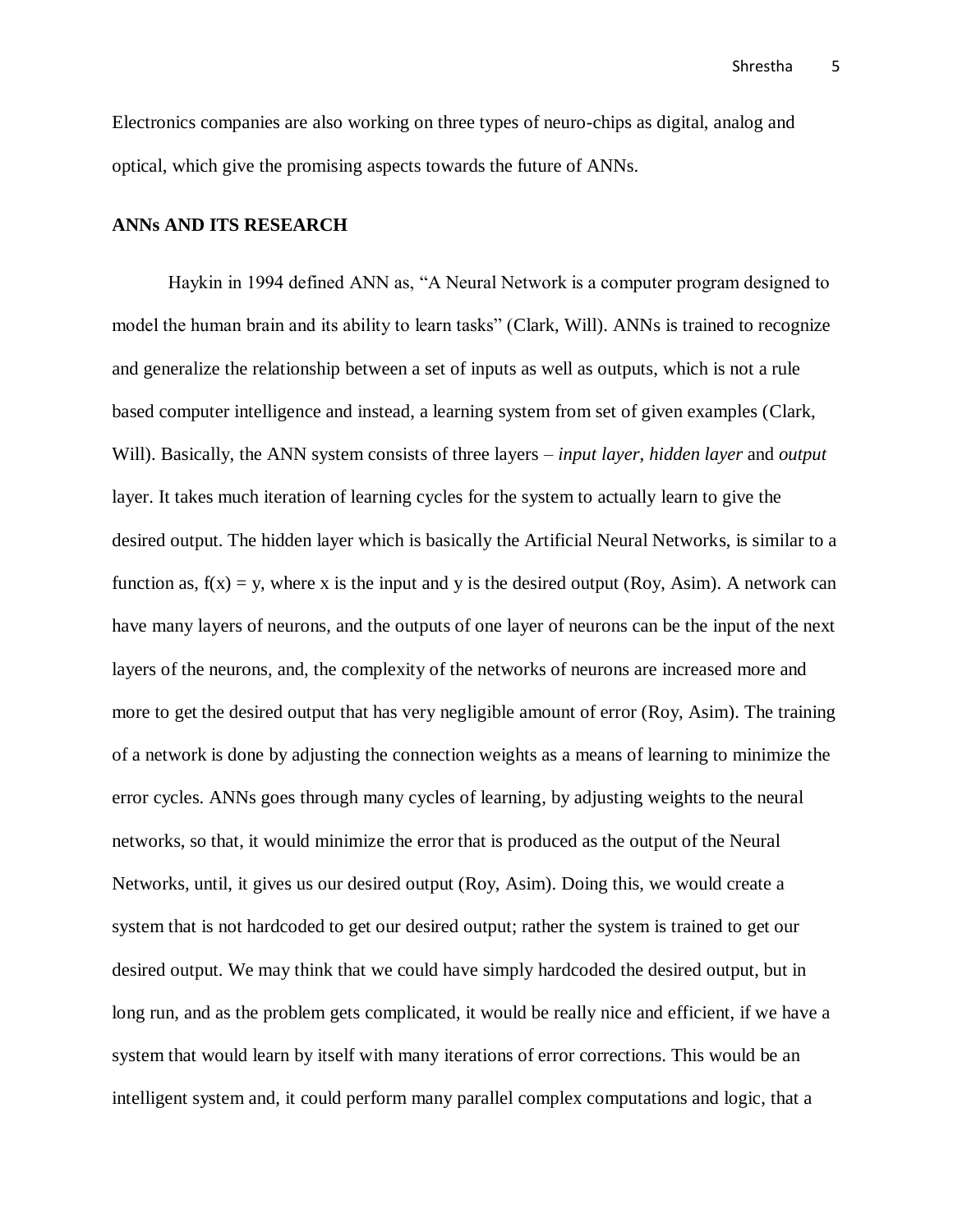Electronics companies are also working on three types of neuro-chips as digital, analog and optical, which give the promising aspects towards the future of ANNs.

#### **ANNs AND ITS RESEARCH**

Haykin in 1994 defined ANN as, "A Neural Network is a computer program designed to model the human brain and its ability to learn tasks" (Clark, Will). ANNs is trained to recognize and generalize the relationship between a set of inputs as well as outputs, which is not a rule based computer intelligence and instead, a learning system from set of given examples (Clark, Will). Basically, the ANN system consists of three layers – *input layer*, *hidden layer* and *output* layer. It takes much iteration of learning cycles for the system to actually learn to give the desired output. The hidden layer which is basically the Artificial Neural Networks, is similar to a function as,  $f(x) = y$ , where x is the input and y is the desired output (Roy, Asim). A network can have many layers of neurons, and the outputs of one layer of neurons can be the input of the next layers of the neurons, and, the complexity of the networks of neurons are increased more and more to get the desired output that has very negligible amount of error (Roy, Asim). The training of a network is done by adjusting the connection weights as a means of learning to minimize the error cycles. ANNs goes through many cycles of learning, by adjusting weights to the neural networks, so that, it would minimize the error that is produced as the output of the Neural Networks, until, it gives us our desired output (Roy, Asim). Doing this, we would create a system that is not hardcoded to get our desired output; rather the system is trained to get our desired output. We may think that we could have simply hardcoded the desired output, but in long run, and as the problem gets complicated, it would be really nice and efficient, if we have a system that would learn by itself with many iterations of error corrections. This would be an intelligent system and, it could perform many parallel complex computations and logic, that a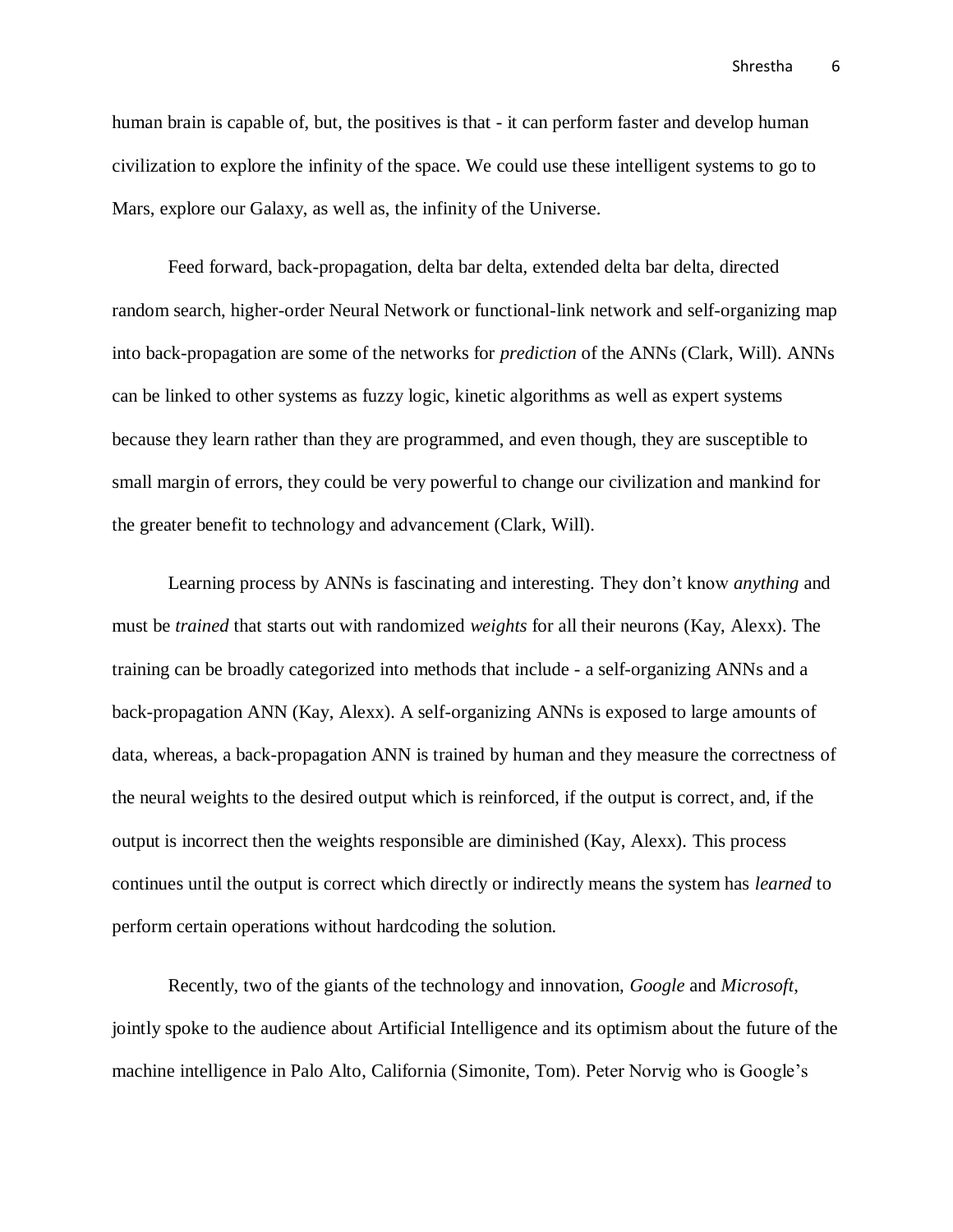human brain is capable of, but, the positives is that - it can perform faster and develop human civilization to explore the infinity of the space. We could use these intelligent systems to go to Mars, explore our Galaxy, as well as, the infinity of the Universe.

Feed forward, back-propagation, delta bar delta, extended delta bar delta, directed random search, higher-order Neural Network or functional-link network and self-organizing map into back-propagation are some of the networks for *prediction* of the ANNs (Clark, Will). ANNs can be linked to other systems as fuzzy logic, kinetic algorithms as well as expert systems because they learn rather than they are programmed, and even though, they are susceptible to small margin of errors, they could be very powerful to change our civilization and mankind for the greater benefit to technology and advancement (Clark, Will).

Learning process by ANNs is fascinating and interesting. They don't know *anything* and must be *trained* that starts out with randomized *weights* for all their neurons (Kay, Alexx). The training can be broadly categorized into methods that include - a self-organizing ANNs and a back-propagation ANN (Kay, Alexx). A self-organizing ANNs is exposed to large amounts of data, whereas, a back-propagation ANN is trained by human and they measure the correctness of the neural weights to the desired output which is reinforced, if the output is correct, and, if the output is incorrect then the weights responsible are diminished (Kay, Alexx). This process continues until the output is correct which directly or indirectly means the system has *learned* to perform certain operations without hardcoding the solution.

Recently, two of the giants of the technology and innovation, *Google* and *Microsoft*, jointly spoke to the audience about Artificial Intelligence and its optimism about the future of the machine intelligence in Palo Alto, California (Simonite, Tom). Peter Norvig who is Google's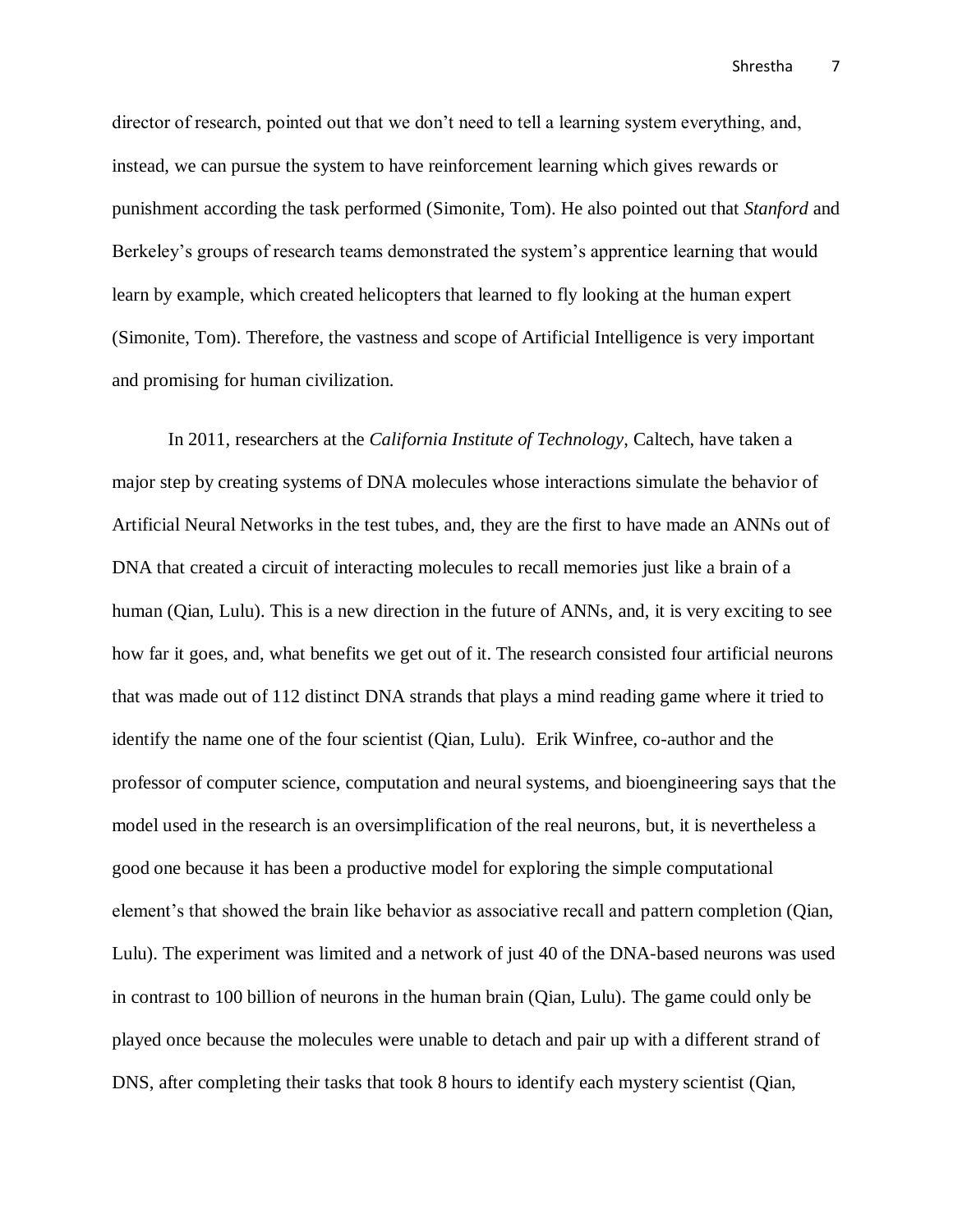director of research, pointed out that we don't need to tell a learning system everything, and, instead, we can pursue the system to have reinforcement learning which gives rewards or punishment according the task performed (Simonite, Tom). He also pointed out that *Stanford* and Berkeley's groups of research teams demonstrated the system's apprentice learning that would learn by example, which created helicopters that learned to fly looking at the human expert (Simonite, Tom). Therefore, the vastness and scope of Artificial Intelligence is very important and promising for human civilization.

In 2011, researchers at the *California Institute of Technology*, Caltech, have taken a major step by creating systems of DNA molecules whose interactions simulate the behavior of Artificial Neural Networks in the test tubes, and, they are the first to have made an ANNs out of DNA that created a circuit of interacting molecules to recall memories just like a brain of a human (Qian, Lulu). This is a new direction in the future of ANNs, and, it is very exciting to see how far it goes, and, what benefits we get out of it. The research consisted four artificial neurons that was made out of 112 distinct DNA strands that plays a mind reading game where it tried to identify the name one of the four scientist (Qian, Lulu). Erik Winfree, co-author and the professor of computer science, computation and neural systems, and bioengineering says that the model used in the research is an oversimplification of the real neurons, but, it is nevertheless a good one because it has been a productive model for exploring the simple computational element's that showed the brain like behavior as associative recall and pattern completion (Qian, Lulu). The experiment was limited and a network of just 40 of the DNA-based neurons was used in contrast to 100 billion of neurons in the human brain (Qian, Lulu). The game could only be played once because the molecules were unable to detach and pair up with a different strand of DNS, after completing their tasks that took 8 hours to identify each mystery scientist (Qian,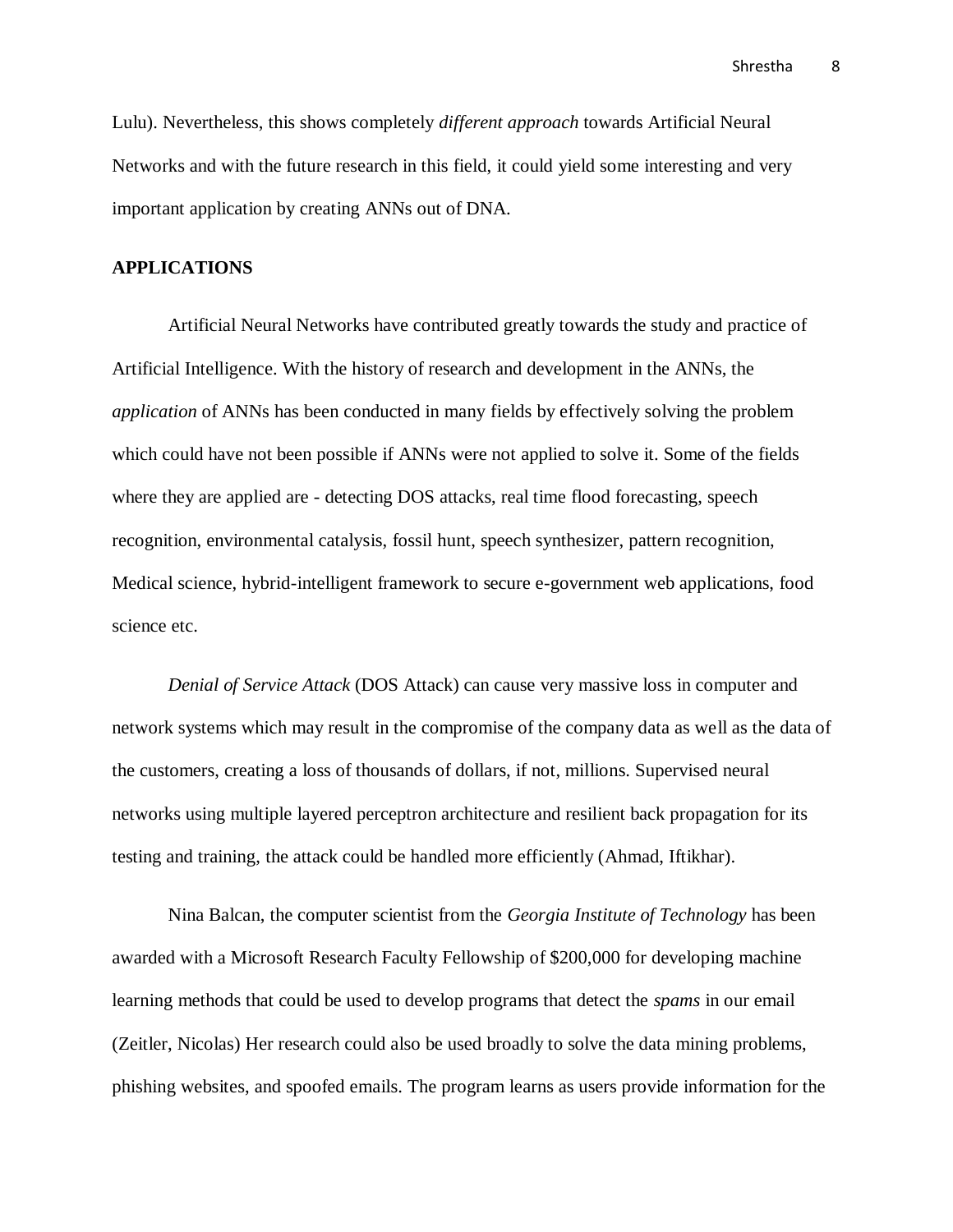Lulu). Nevertheless, this shows completely *different approach* towards Artificial Neural Networks and with the future research in this field, it could yield some interesting and very important application by creating ANNs out of DNA.

#### **APPLICATIONS**

Artificial Neural Networks have contributed greatly towards the study and practice of Artificial Intelligence. With the history of research and development in the ANNs, the *application* of ANNs has been conducted in many fields by effectively solving the problem which could have not been possible if ANNs were not applied to solve it. Some of the fields where they are applied are - detecting DOS attacks, real time flood forecasting, speech recognition, environmental catalysis, fossil hunt, speech synthesizer, pattern recognition, Medical science, hybrid-intelligent framework to secure e-government web applications, food science etc.

*Denial of Service Attack* (DOS Attack) can cause very massive loss in computer and network systems which may result in the compromise of the company data as well as the data of the customers, creating a loss of thousands of dollars, if not, millions. Supervised neural networks using multiple layered perceptron architecture and resilient back propagation for its testing and training, the attack could be handled more efficiently (Ahmad, Iftikhar).

Nina Balcan, the computer scientist from the *Georgia Institute of Technology* has been awarded with a Microsoft Research Faculty Fellowship of \$200,000 for developing machine learning methods that could be used to develop programs that detect the *spams* in our email (Zeitler, Nicolas) Her research could also be used broadly to solve the data mining problems, phishing websites, and spoofed emails. The program learns as users provide information for the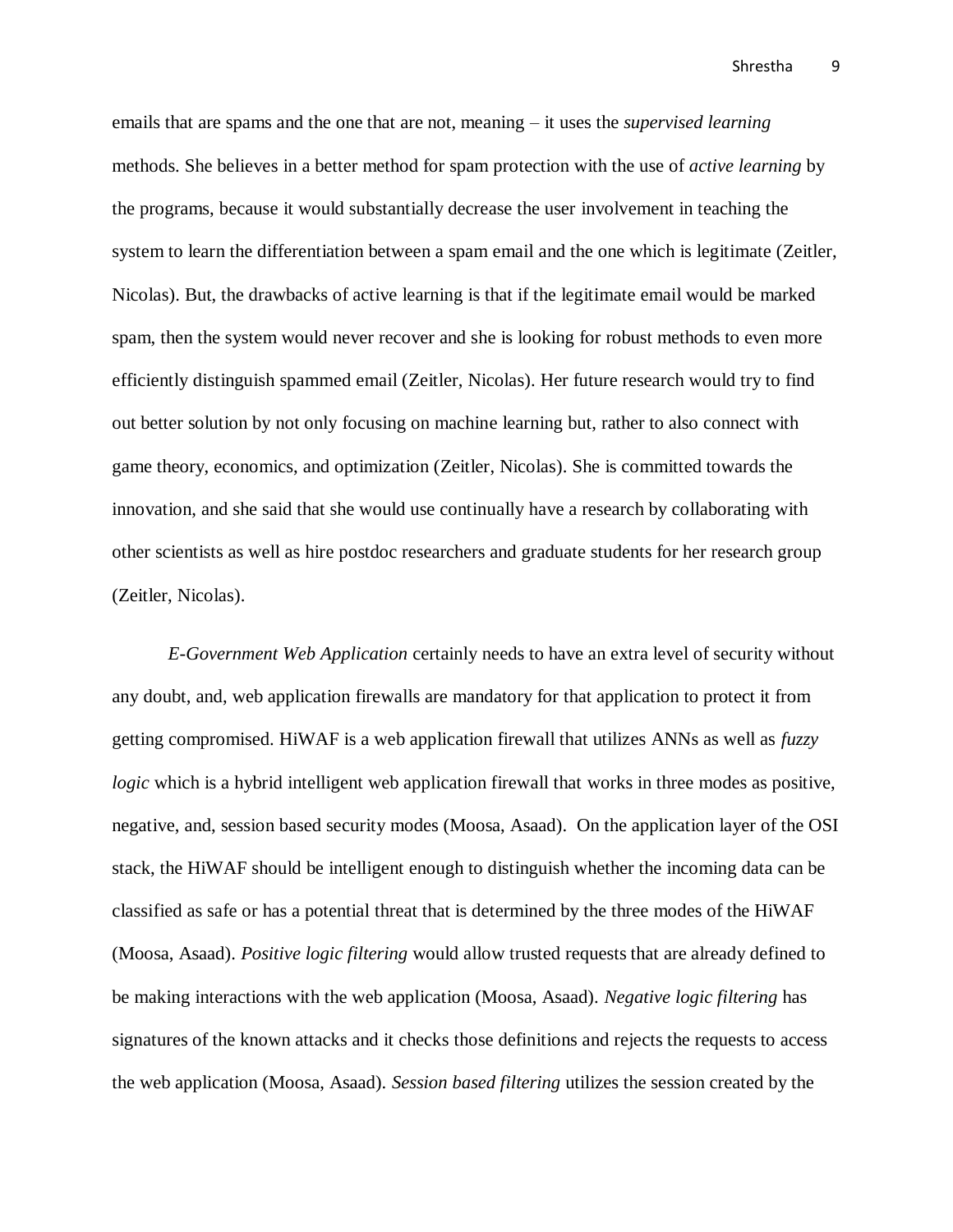emails that are spams and the one that are not, meaning – it uses the *supervised learning* methods. She believes in a better method for spam protection with the use of *active learning* by the programs, because it would substantially decrease the user involvement in teaching the system to learn the differentiation between a spam email and the one which is legitimate (Zeitler, Nicolas). But, the drawbacks of active learning is that if the legitimate email would be marked spam, then the system would never recover and she is looking for robust methods to even more efficiently distinguish spammed email (Zeitler, Nicolas). Her future research would try to find out better solution by not only focusing on machine learning but, rather to also connect with game theory, economics, and optimization (Zeitler, Nicolas). She is committed towards the innovation, and she said that she would use continually have a research by collaborating with other scientists as well as hire postdoc researchers and graduate students for her research group (Zeitler, Nicolas).

*E-Government Web Application* certainly needs to have an extra level of security without any doubt, and, web application firewalls are mandatory for that application to protect it from getting compromised. HiWAF is a web application firewall that utilizes ANNs as well as *fuzzy logic* which is a hybrid intelligent web application firewall that works in three modes as positive, negative, and, session based security modes (Moosa, Asaad). On the application layer of the OSI stack, the HiWAF should be intelligent enough to distinguish whether the incoming data can be classified as safe or has a potential threat that is determined by the three modes of the HiWAF (Moosa, Asaad). *Positive logic filtering* would allow trusted requests that are already defined to be making interactions with the web application (Moosa, Asaad). *Negative logic filtering* has signatures of the known attacks and it checks those definitions and rejects the requests to access the web application (Moosa, Asaad). *Session based filtering* utilizes the session created by the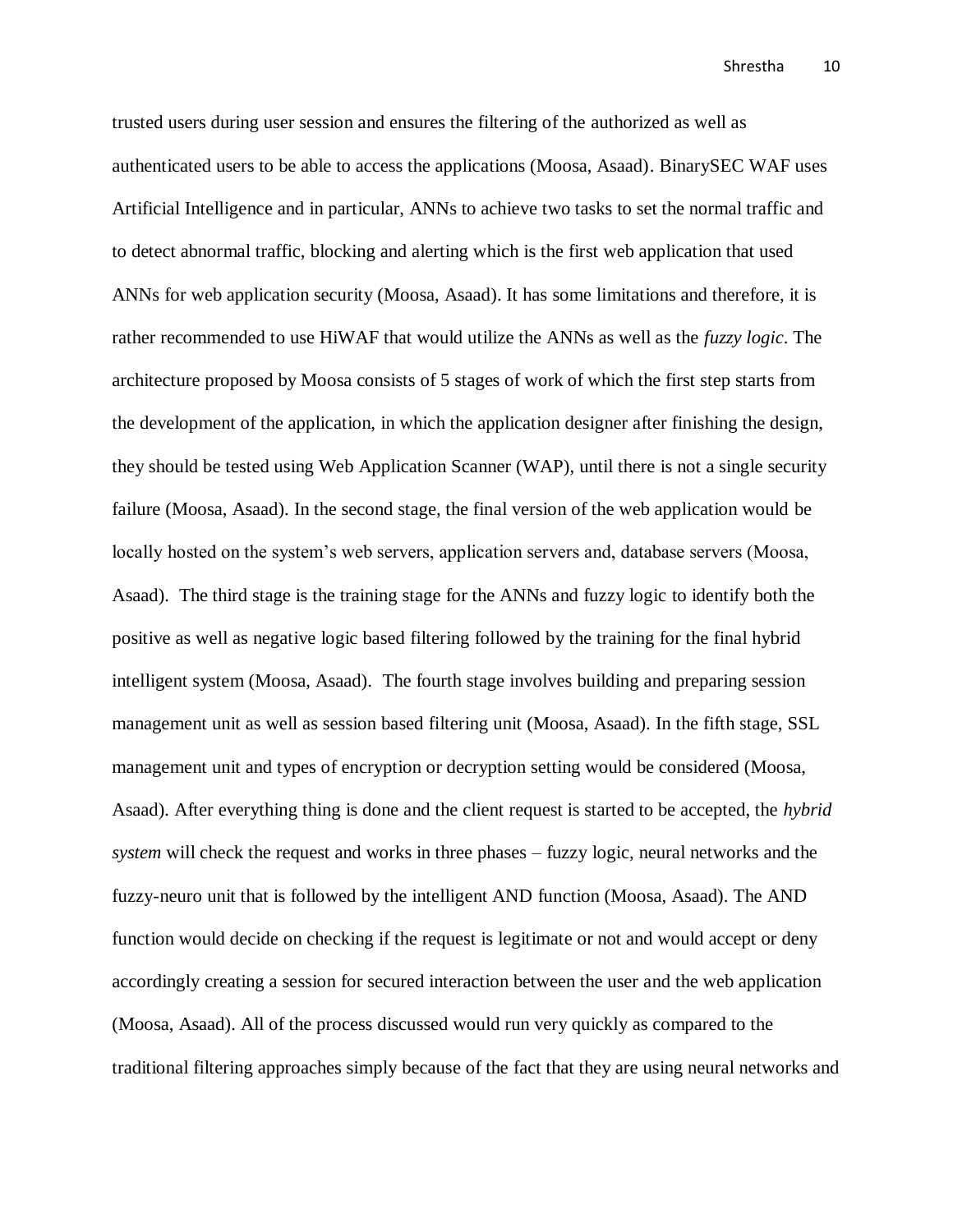trusted users during user session and ensures the filtering of the authorized as well as authenticated users to be able to access the applications (Moosa, Asaad). BinarySEC WAF uses Artificial Intelligence and in particular, ANNs to achieve two tasks to set the normal traffic and to detect abnormal traffic, blocking and alerting which is the first web application that used ANNs for web application security (Moosa, Asaad). It has some limitations and therefore, it is rather recommended to use HiWAF that would utilize the ANNs as well as the *fuzzy logic*. The architecture proposed by Moosa consists of 5 stages of work of which the first step starts from the development of the application, in which the application designer after finishing the design, they should be tested using Web Application Scanner (WAP), until there is not a single security failure (Moosa, Asaad). In the second stage, the final version of the web application would be locally hosted on the system's web servers, application servers and, database servers (Moosa, Asaad). The third stage is the training stage for the ANNs and fuzzy logic to identify both the positive as well as negative logic based filtering followed by the training for the final hybrid intelligent system (Moosa, Asaad). The fourth stage involves building and preparing session management unit as well as session based filtering unit (Moosa, Asaad). In the fifth stage, SSL management unit and types of encryption or decryption setting would be considered (Moosa, Asaad). After everything thing is done and the client request is started to be accepted, the *hybrid system* will check the request and works in three phases – fuzzy logic, neural networks and the fuzzy-neuro unit that is followed by the intelligent AND function (Moosa, Asaad). The AND function would decide on checking if the request is legitimate or not and would accept or deny accordingly creating a session for secured interaction between the user and the web application (Moosa, Asaad). All of the process discussed would run very quickly as compared to the traditional filtering approaches simply because of the fact that they are using neural networks and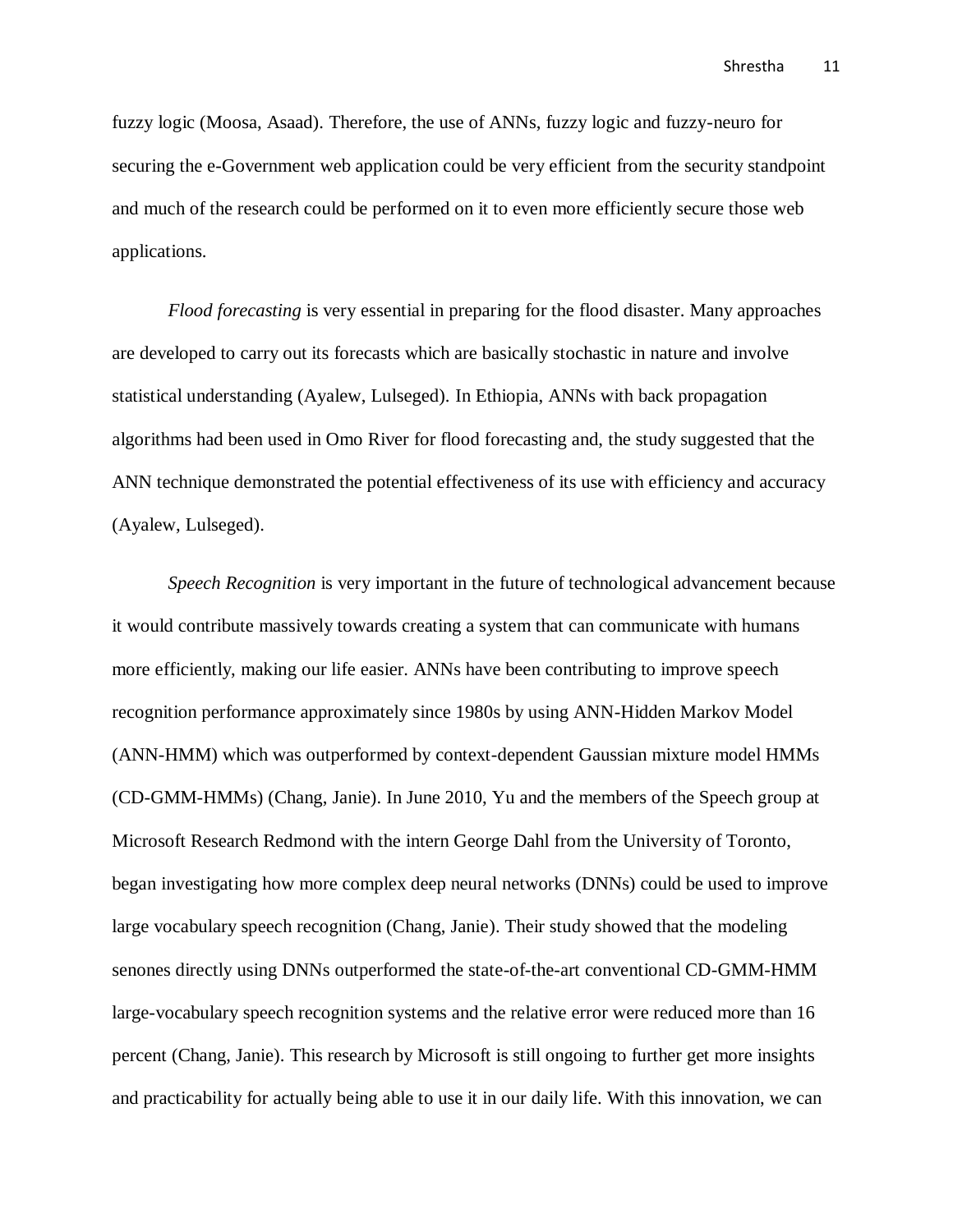fuzzy logic (Moosa, Asaad). Therefore, the use of ANNs, fuzzy logic and fuzzy-neuro for securing the e-Government web application could be very efficient from the security standpoint and much of the research could be performed on it to even more efficiently secure those web applications.

*Flood forecasting* is very essential in preparing for the flood disaster. Many approaches are developed to carry out its forecasts which are basically stochastic in nature and involve statistical understanding (Ayalew, Lulseged). In Ethiopia, ANNs with back propagation algorithms had been used in Omo River for flood forecasting and, the study suggested that the ANN technique demonstrated the potential effectiveness of its use with efficiency and accuracy (Ayalew, Lulseged).

*Speech Recognition* is very important in the future of technological advancement because it would contribute massively towards creating a system that can communicate with humans more efficiently, making our life easier. ANNs have been contributing to improve speech recognition performance approximately since 1980s by using ANN-Hidden Markov Model (ANN-HMM) which was outperformed by context-dependent Gaussian mixture model HMMs (CD-GMM-HMMs) (Chang, Janie). In June 2010, Yu and the members of the Speech group at Microsoft Research Redmond with the intern George Dahl from the University of Toronto, began investigating how more complex deep neural networks (DNNs) could be used to improve large vocabulary speech recognition (Chang, Janie). Their study showed that the modeling senones directly using DNNs outperformed the state-of-the-art conventional CD-GMM-HMM large-vocabulary speech recognition systems and the relative error were reduced more than 16 percent (Chang, Janie). This research by Microsoft is still ongoing to further get more insights and practicability for actually being able to use it in our daily life. With this innovation, we can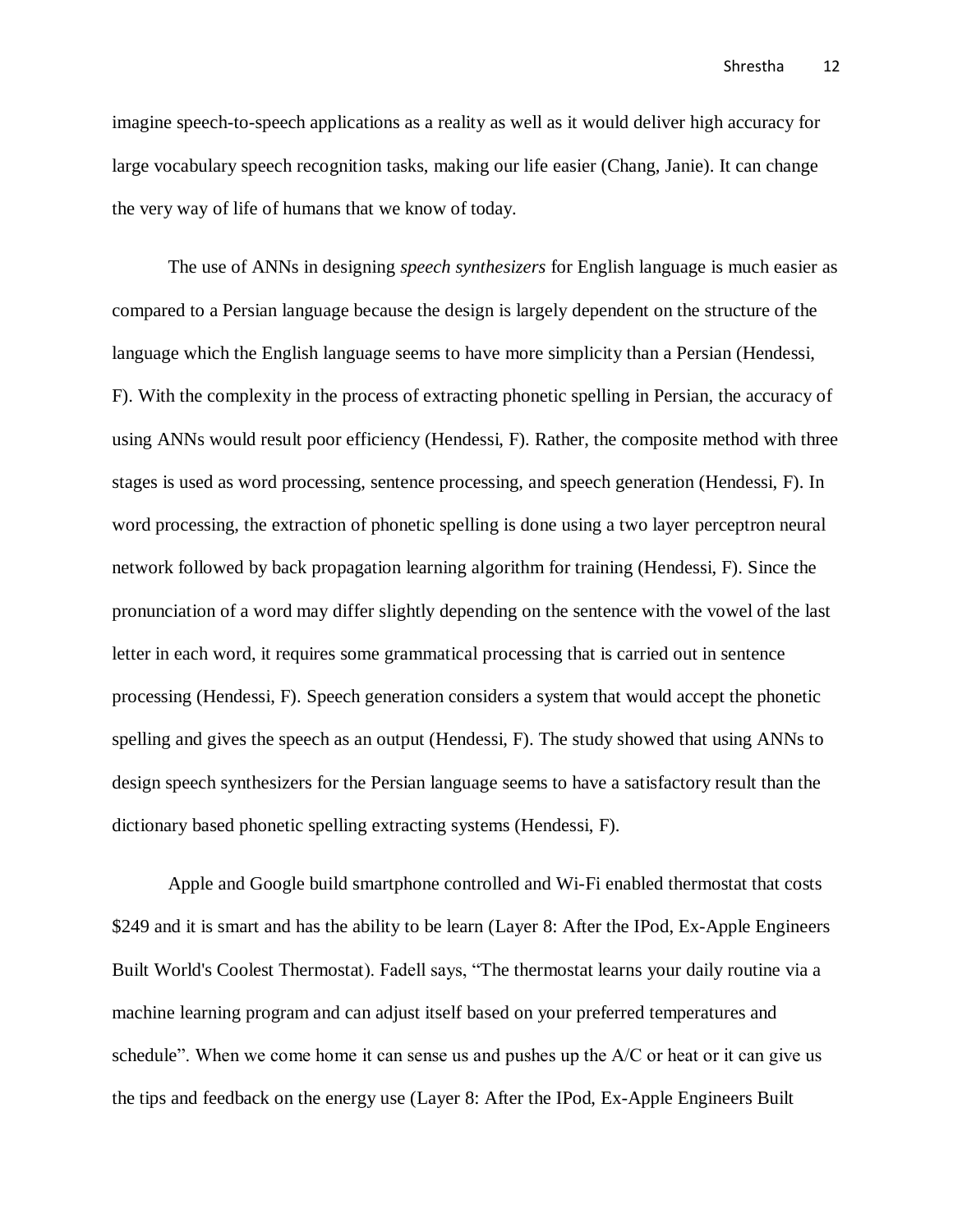imagine speech-to-speech applications as a reality as well as it would deliver high accuracy for large vocabulary speech recognition tasks, making our life easier (Chang, Janie). It can change the very way of life of humans that we know of today.

The use of ANNs in designing *speech synthesizers* for English language is much easier as compared to a Persian language because the design is largely dependent on the structure of the language which the English language seems to have more simplicity than a Persian (Hendessi, F). With the complexity in the process of extracting phonetic spelling in Persian, the accuracy of using ANNs would result poor efficiency (Hendessi, F). Rather, the composite method with three stages is used as word processing, sentence processing, and speech generation (Hendessi, F). In word processing, the extraction of phonetic spelling is done using a two layer perceptron neural network followed by back propagation learning algorithm for training (Hendessi, F). Since the pronunciation of a word may differ slightly depending on the sentence with the vowel of the last letter in each word, it requires some grammatical processing that is carried out in sentence processing (Hendessi, F). Speech generation considers a system that would accept the phonetic spelling and gives the speech as an output (Hendessi, F). The study showed that using ANNs to design speech synthesizers for the Persian language seems to have a satisfactory result than the dictionary based phonetic spelling extracting systems (Hendessi, F).

Apple and Google build smartphone controlled and Wi-Fi enabled thermostat that costs \$249 and it is smart and has the ability to be learn (Layer 8: After the IPod, Ex-Apple Engineers Built World's Coolest Thermostat). Fadell says, "The thermostat learns your daily routine via a machine learning program and can adjust itself based on your preferred temperatures and schedule". When we come home it can sense us and pushes up the A/C or heat or it can give us the tips and feedback on the energy use (Layer 8: After the IPod, Ex-Apple Engineers Built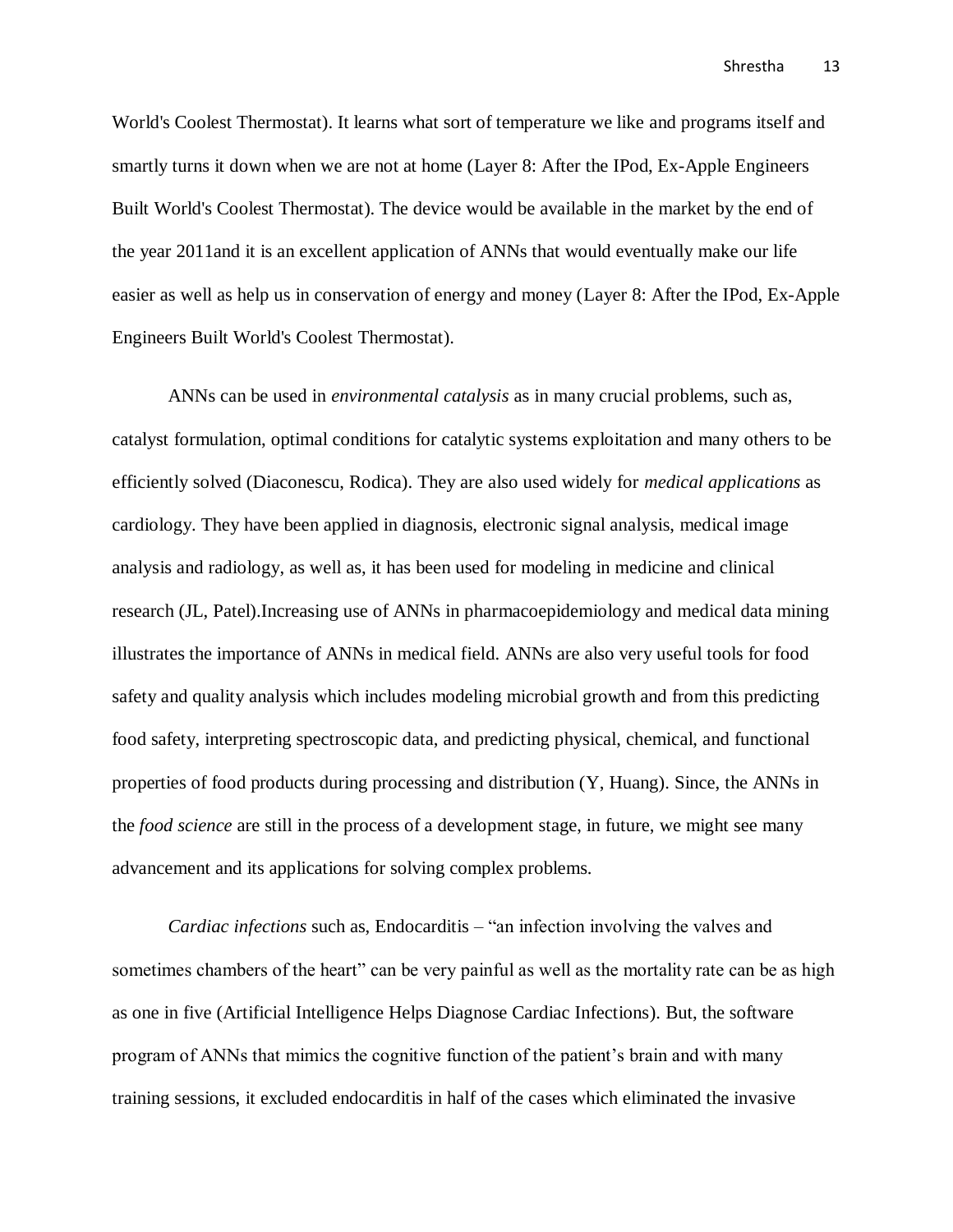World's Coolest Thermostat). It learns what sort of temperature we like and programs itself and smartly turns it down when we are not at home (Layer 8: After the IPod, Ex-Apple Engineers Built World's Coolest Thermostat). The device would be available in the market by the end of the year 2011and it is an excellent application of ANNs that would eventually make our life easier as well as help us in conservation of energy and money (Layer 8: After the IPod, Ex-Apple Engineers Built World's Coolest Thermostat).

ANNs can be used in *environmental catalysis* as in many crucial problems, such as, catalyst formulation, optimal conditions for catalytic systems exploitation and many others to be efficiently solved (Diaconescu, Rodica). They are also used widely for *medical applications* as cardiology. They have been applied in diagnosis, electronic signal analysis, medical image analysis and radiology, as well as, it has been used for modeling in medicine and clinical research (JL, Patel).Increasing use of ANNs in pharmacoepidemiology and medical data mining illustrates the importance of ANNs in medical field. ANNs are also very useful tools for food safety and quality analysis which includes modeling microbial growth and from this predicting food safety, interpreting spectroscopic data, and predicting physical, chemical, and functional properties of food products during processing and distribution (Y, Huang). Since, the ANNs in the *food science* are still in the process of a development stage, in future, we might see many advancement and its applications for solving complex problems.

*Cardiac infections* such as, Endocarditis – "an infection involving the valves and sometimes chambers of the heart" can be very painful as well as the mortality rate can be as high as one in five (Artificial Intelligence Helps Diagnose Cardiac Infections). But, the software program of ANNs that mimics the cognitive function of the patient's brain and with many training sessions, it excluded endocarditis in half of the cases which eliminated the invasive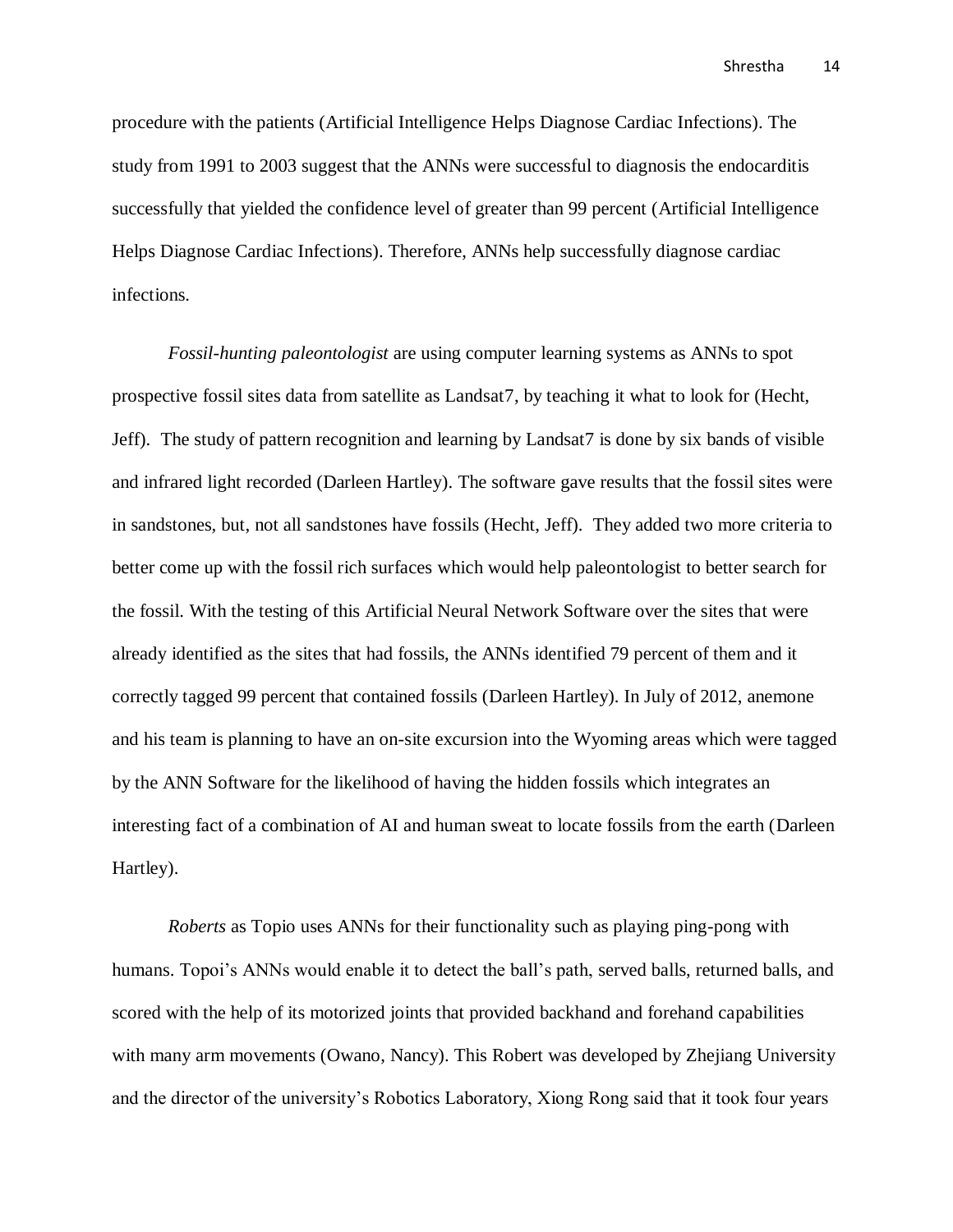procedure with the patients (Artificial Intelligence Helps Diagnose Cardiac Infections). The study from 1991 to 2003 suggest that the ANNs were successful to diagnosis the endocarditis successfully that yielded the confidence level of greater than 99 percent (Artificial Intelligence Helps Diagnose Cardiac Infections). Therefore, ANNs help successfully diagnose cardiac infections.

*Fossil-hunting paleontologist* are using computer learning systems as ANNs to spot prospective fossil sites data from satellite as Landsat7, by teaching it what to look for (Hecht, Jeff). The study of pattern recognition and learning by Landsat7 is done by six bands of visible and infrared light recorded (Darleen Hartley). The software gave results that the fossil sites were in sandstones, but, not all sandstones have fossils (Hecht, Jeff). They added two more criteria to better come up with the fossil rich surfaces which would help paleontologist to better search for the fossil. With the testing of this Artificial Neural Network Software over the sites that were already identified as the sites that had fossils, the ANNs identified 79 percent of them and it correctly tagged 99 percent that contained fossils (Darleen Hartley). In July of 2012, anemone and his team is planning to have an on-site excursion into the Wyoming areas which were tagged by the ANN Software for the likelihood of having the hidden fossils which integrates an interesting fact of a combination of AI and human sweat to locate fossils from the earth (Darleen Hartley).

*Roberts* as Topio uses ANNs for their functionality such as playing ping-pong with humans. Topoi's ANNs would enable it to detect the ball's path, served balls, returned balls, and scored with the help of its motorized joints that provided backhand and forehand capabilities with many arm movements (Owano, Nancy). This Robert was developed by Zhejiang University and the director of the university's Robotics Laboratory, Xiong Rong said that it took four years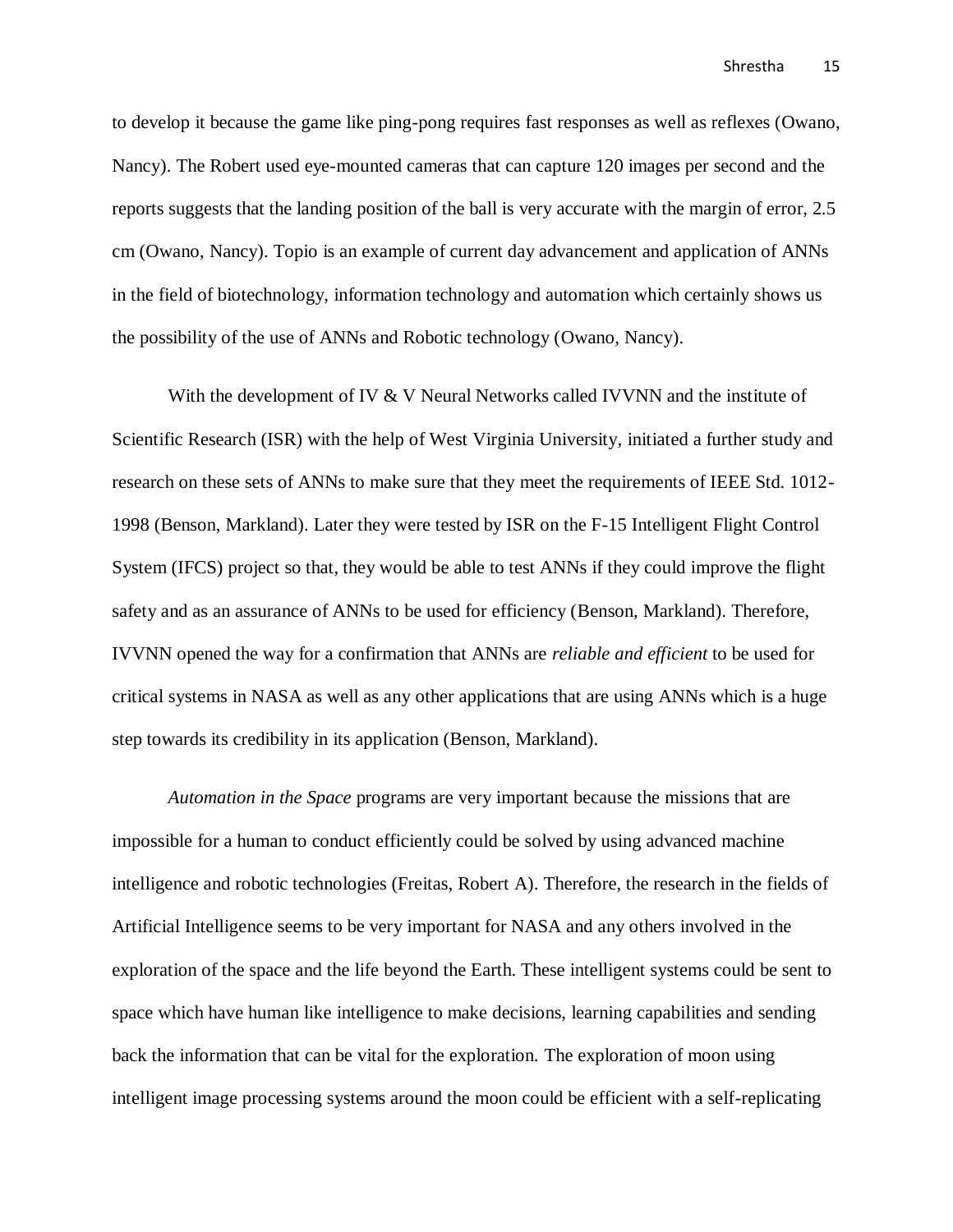to develop it because the game like ping-pong requires fast responses as well as reflexes (Owano, Nancy). The Robert used eye-mounted cameras that can capture 120 images per second and the reports suggests that the landing position of the ball is very accurate with the margin of error, 2.5 cm (Owano, Nancy). Topio is an example of current day advancement and application of ANNs in the field of biotechnology, information technology and automation which certainly shows us the possibility of the use of ANNs and Robotic technology (Owano, Nancy).

With the development of IV & V Neural Networks called IVVNN and the institute of Scientific Research (ISR) with the help of West Virginia University, initiated a further study and research on these sets of ANNs to make sure that they meet the requirements of IEEE Std. 1012- 1998 (Benson, Markland). Later they were tested by ISR on the F-15 Intelligent Flight Control System (IFCS) project so that, they would be able to test ANNs if they could improve the flight safety and as an assurance of ANNs to be used for efficiency (Benson, Markland). Therefore, IVVNN opened the way for a confirmation that ANNs are *reliable and efficient* to be used for critical systems in NASA as well as any other applications that are using ANNs which is a huge step towards its credibility in its application (Benson, Markland).

*Automation in the Space* programs are very important because the missions that are impossible for a human to conduct efficiently could be solved by using advanced machine intelligence and robotic technologies (Freitas, Robert A). Therefore, the research in the fields of Artificial Intelligence seems to be very important for NASA and any others involved in the exploration of the space and the life beyond the Earth. These intelligent systems could be sent to space which have human like intelligence to make decisions, learning capabilities and sending back the information that can be vital for the exploration. The exploration of moon using intelligent image processing systems around the moon could be efficient with a self-replicating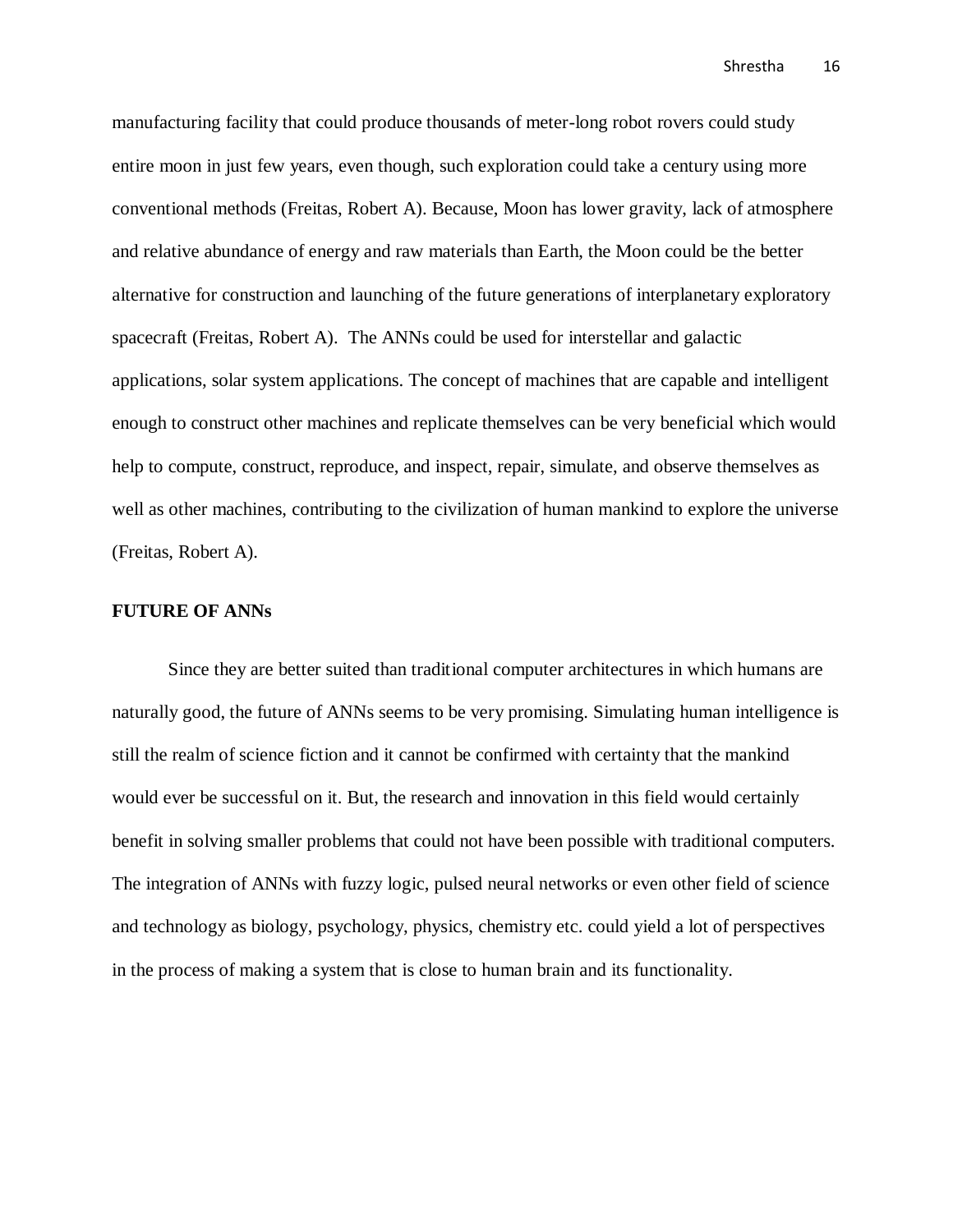manufacturing facility that could produce thousands of meter-long robot rovers could study entire moon in just few years, even though, such exploration could take a century using more conventional methods (Freitas, Robert A). Because, Moon has lower gravity, lack of atmosphere and relative abundance of energy and raw materials than Earth, the Moon could be the better alternative for construction and launching of the future generations of interplanetary exploratory spacecraft (Freitas, Robert A). The ANNs could be used for interstellar and galactic applications, solar system applications. The concept of machines that are capable and intelligent enough to construct other machines and replicate themselves can be very beneficial which would help to compute, construct, reproduce, and inspect, repair, simulate, and observe themselves as well as other machines, contributing to the civilization of human mankind to explore the universe (Freitas, Robert A).

#### **FUTURE OF ANNs**

Since they are better suited than traditional computer architectures in which humans are naturally good, the future of ANNs seems to be very promising. Simulating human intelligence is still the realm of science fiction and it cannot be confirmed with certainty that the mankind would ever be successful on it. But, the research and innovation in this field would certainly benefit in solving smaller problems that could not have been possible with traditional computers. The integration of ANNs with fuzzy logic, pulsed neural networks or even other field of science and technology as biology, psychology, physics, chemistry etc. could yield a lot of perspectives in the process of making a system that is close to human brain and its functionality.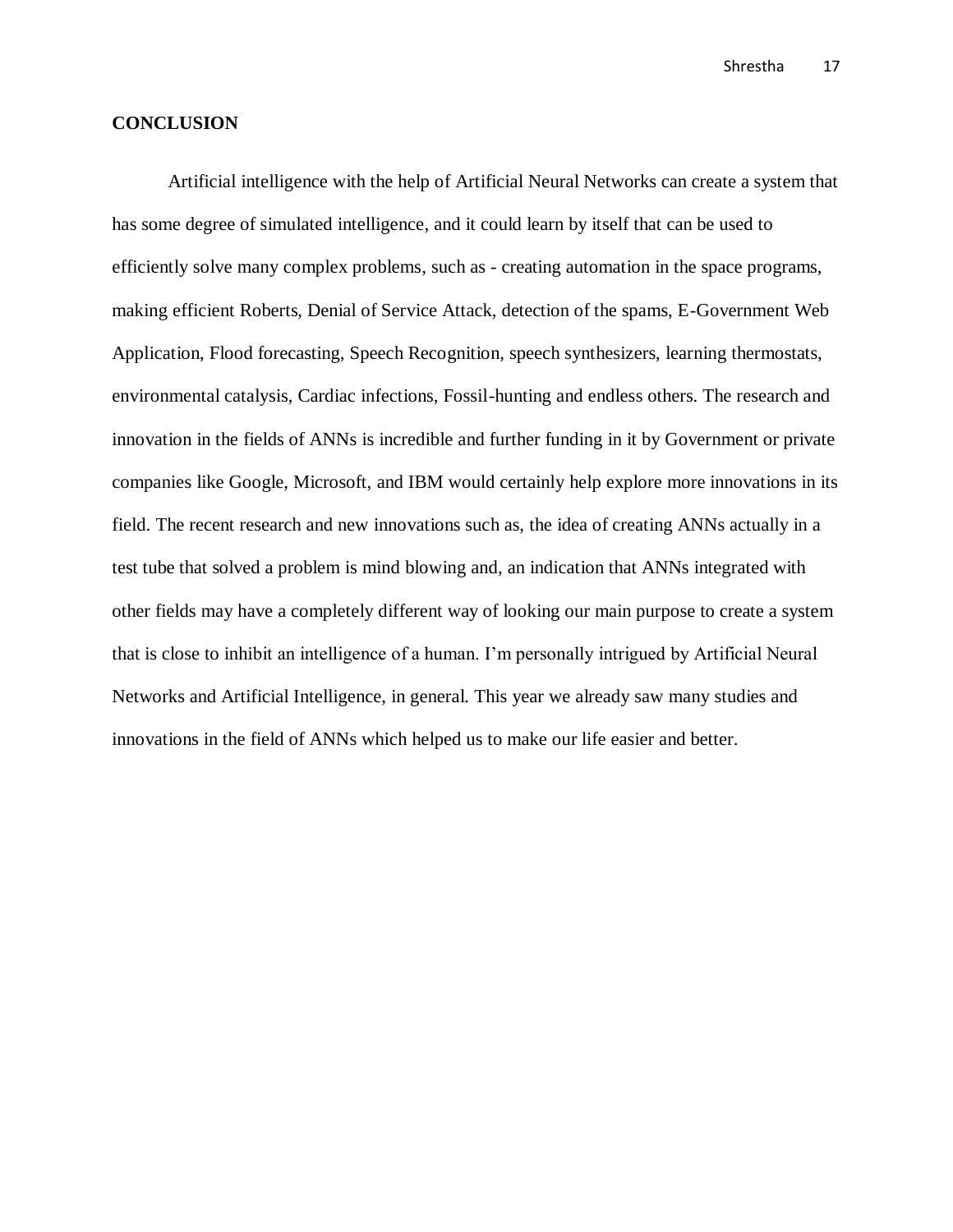#### **CONCLUSION**

Artificial intelligence with the help of Artificial Neural Networks can create a system that has some degree of simulated intelligence, and it could learn by itself that can be used to efficiently solve many complex problems, such as - creating automation in the space programs, making efficient Roberts, Denial of Service Attack, detection of the spams, E-Government Web Application, Flood forecasting, Speech Recognition, speech synthesizers, learning thermostats, environmental catalysis, Cardiac infections, Fossil-hunting and endless others. The research and innovation in the fields of ANNs is incredible and further funding in it by Government or private companies like Google, Microsoft, and IBM would certainly help explore more innovations in its field. The recent research and new innovations such as, the idea of creating ANNs actually in a test tube that solved a problem is mind blowing and, an indication that ANNs integrated with other fields may have a completely different way of looking our main purpose to create a system that is close to inhibit an intelligence of a human. I'm personally intrigued by Artificial Neural Networks and Artificial Intelligence, in general. This year we already saw many studies and innovations in the field of ANNs which helped us to make our life easier and better.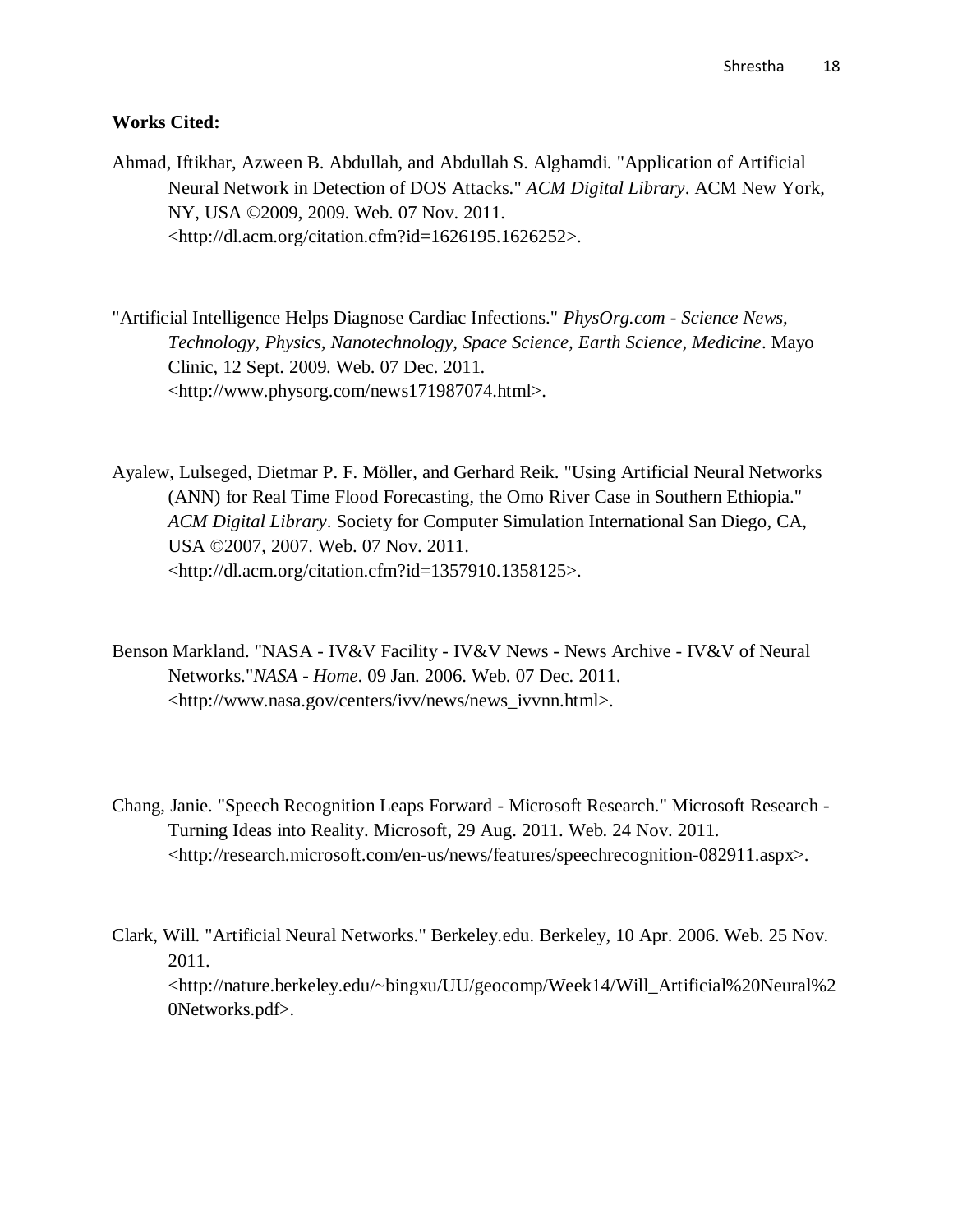#### **Works Cited:**

Ahmad, Iftikhar, Azween B. Abdullah, and Abdullah S. Alghamdi. "Application of Artificial Neural Network in Detection of DOS Attacks." *ACM Digital Library*. ACM New York, NY, USA ©2009, 2009. Web. 07 Nov. 2011. <http://dl.acm.org/citation.cfm?id=1626195.1626252>.

"Artificial Intelligence Helps Diagnose Cardiac Infections." *PhysOrg.com - Science News, Technology, Physics, Nanotechnology, Space Science, Earth Science, Medicine*. Mayo Clinic, 12 Sept. 2009. Web. 07 Dec. 2011. <http://www.physorg.com/news171987074.html>.

- Ayalew, Lulseged, Dietmar P. F. Möller, and Gerhard Reik. "Using Artificial Neural Networks (ANN) for Real Time Flood Forecasting, the Omo River Case in Southern Ethiopia." *ACM Digital Library*. Society for Computer Simulation International San Diego, CA, USA ©2007, 2007. Web. 07 Nov. 2011. <http://dl.acm.org/citation.cfm?id=1357910.1358125>.
- Benson Markland. "NASA IV&V Facility IV&V News News Archive IV&V of Neural Networks."*NASA - Home*. 09 Jan. 2006. Web. 07 Dec. 2011. <http://www.nasa.gov/centers/ivv/news/news\_ivvnn.html>.
- Chang, Janie. "Speech Recognition Leaps Forward Microsoft Research." Microsoft Research Turning Ideas into Reality. Microsoft, 29 Aug. 2011. Web. 24 Nov. 2011. <http://research.microsoft.com/en-us/news/features/speechrecognition-082911.aspx>.
- Clark, Will. "Artificial Neural Networks." Berkeley.edu. Berkeley, 10 Apr. 2006. Web. 25 Nov. 2011. <http://nature.berkeley.edu/~bingxu/UU/geocomp/Week14/Will\_Artificial%20Neural%2 0Networks.pdf>.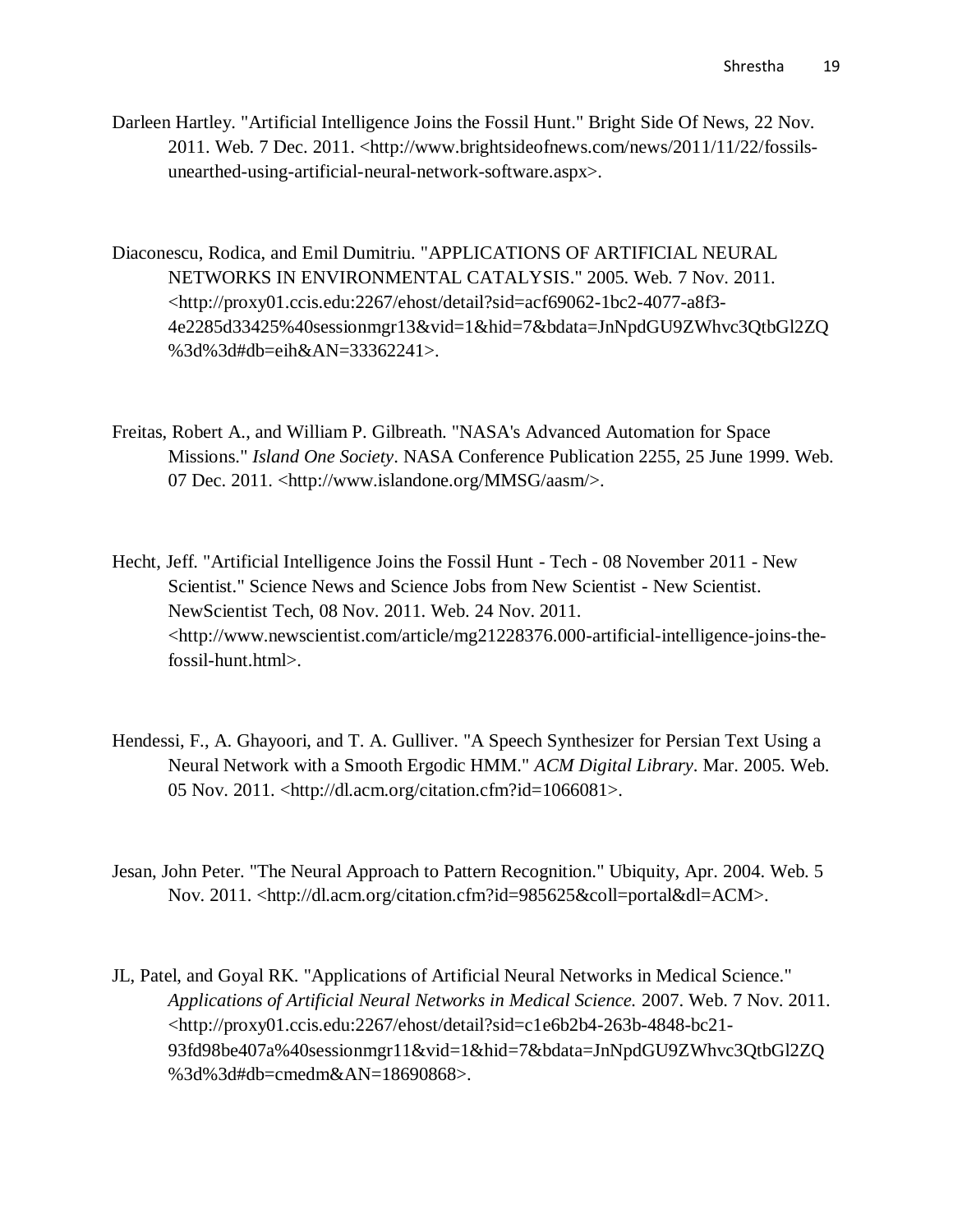- Darleen Hartley. "Artificial Intelligence Joins the Fossil Hunt." Bright Side Of News, 22 Nov. 2011. Web. 7 Dec. 2011. <http://www.brightsideofnews.com/news/2011/11/22/fossilsunearthed-using-artificial-neural-network-software.aspx>.
- Diaconescu, Rodica, and Emil Dumitriu. "APPLICATIONS OF ARTIFICIAL NEURAL NETWORKS IN ENVIRONMENTAL CATALYSIS." 2005. Web. 7 Nov. 2011. <http://proxy01.ccis.edu:2267/ehost/detail?sid=acf69062-1bc2-4077-a8f3- 4e2285d33425%40sessionmgr13&vid=1&hid=7&bdata=JnNpdGU9ZWhvc3QtbGl2ZQ %3d%3d#db=eih&AN=33362241>.
- Freitas, Robert A., and William P. Gilbreath. "NASA's Advanced Automation for Space Missions." *Island One Society*. NASA Conference Publication 2255, 25 June 1999. Web. 07 Dec. 2011. <http://www.islandone.org/MMSG/aasm/>.
- Hecht, Jeff. "Artificial Intelligence Joins the Fossil Hunt Tech 08 November 2011 New Scientist." Science News and Science Jobs from New Scientist - New Scientist. NewScientist Tech, 08 Nov. 2011. Web. 24 Nov. 2011. <http://www.newscientist.com/article/mg21228376.000-artificial-intelligence-joins-thefossil-hunt.html>.
- Hendessi, F., A. Ghayoori, and T. A. Gulliver. "A Speech Synthesizer for Persian Text Using a Neural Network with a Smooth Ergodic HMM." *ACM Digital Library*. Mar. 2005. Web. 05 Nov. 2011. <http://dl.acm.org/citation.cfm?id=1066081>.
- Jesan, John Peter. "The Neural Approach to Pattern Recognition." Ubiquity, Apr. 2004. Web. 5 Nov. 2011. <http://dl.acm.org/citation.cfm?id=985625&coll=portal&dl=ACM>.
- JL, Patel, and Goyal RK. "Applications of Artificial Neural Networks in Medical Science." *Applications of Artificial Neural Networks in Medical Science.* 2007. Web. 7 Nov. 2011. <http://proxy01.ccis.edu:2267/ehost/detail?sid=c1e6b2b4-263b-4848-bc21- 93fd98be407a%40sessionmgr11&vid=1&hid=7&bdata=JnNpdGU9ZWhvc3QtbGl2ZQ %3d%3d#db=cmedm&AN=18690868>.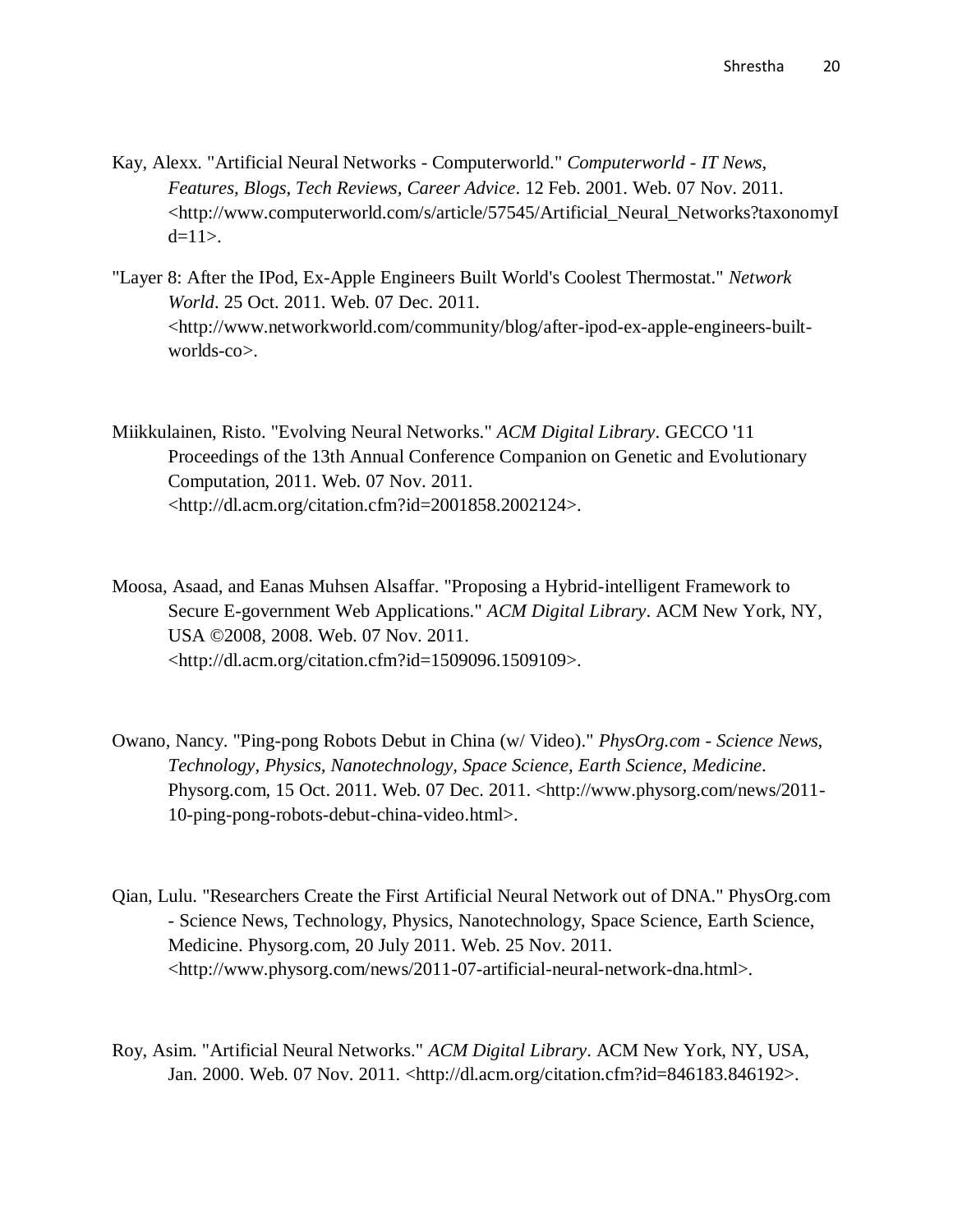- Kay, Alexx. "Artificial Neural Networks Computerworld." *Computerworld - IT News, Features, Blogs, Tech Reviews, Career Advice*. 12 Feb. 2001. Web. 07 Nov. 2011. <http://www.computerworld.com/s/article/57545/Artificial\_Neural\_Networks?taxonomyI  $d=11$ .
- "Layer 8: After the IPod, Ex-Apple Engineers Built World's Coolest Thermostat." *Network World*. 25 Oct. 2011. Web. 07 Dec. 2011. <http://www.networkworld.com/community/blog/after-ipod-ex-apple-engineers-builtworlds-co>.
- Miikkulainen, Risto. "Evolving Neural Networks." *ACM Digital Library*. GECCO '11 Proceedings of the 13th Annual Conference Companion on Genetic and Evolutionary Computation, 2011. Web. 07 Nov. 2011. <http://dl.acm.org/citation.cfm?id=2001858.2002124>.
- Moosa, Asaad, and Eanas Muhsen Alsaffar. "Proposing a Hybrid-intelligent Framework to Secure E-government Web Applications." *ACM Digital Library*. ACM New York, NY, USA ©2008, 2008. Web. 07 Nov. 2011. <http://dl.acm.org/citation.cfm?id=1509096.1509109>.
- Owano, Nancy. "Ping-pong Robots Debut in China (w/ Video)." *PhysOrg.com - Science News, Technology, Physics, Nanotechnology, Space Science, Earth Science, Medicine*. Physorg.com, 15 Oct. 2011. Web. 07 Dec. 2011. <http://www.physorg.com/news/2011- 10-ping-pong-robots-debut-china-video.html>.
- Qian, Lulu. "Researchers Create the First Artificial Neural Network out of DNA." PhysOrg.com - Science News, Technology, Physics, Nanotechnology, Space Science, Earth Science, Medicine. Physorg.com, 20 July 2011. Web. 25 Nov. 2011. <http://www.physorg.com/news/2011-07-artificial-neural-network-dna.html>.
- Roy, Asim. "Artificial Neural Networks." *ACM Digital Library*. ACM New York, NY, USA, Jan. 2000. Web. 07 Nov. 2011. <http://dl.acm.org/citation.cfm?id=846183.846192>.